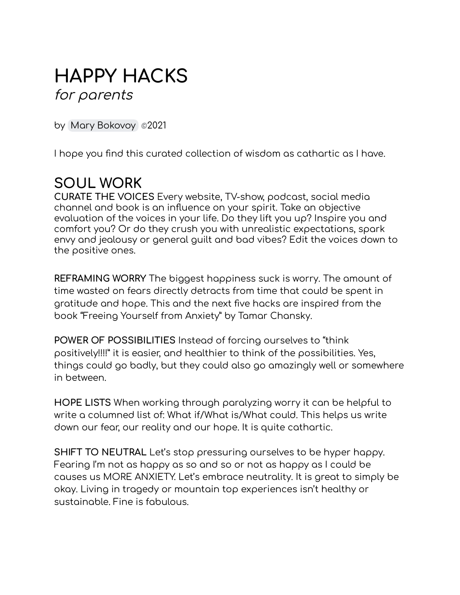# **HAPPY HACKS** for parents

by Mary [Bokovoy](mailto:mary@hoodriverredesign.com) *©*2021

I hope you find this curated collection of wisdom as cathartic as I have.

### **SOUL WORK**

**CURATE THE VOICES** Every website, TV-show, podcast, social media channel and book is an influence on your spirit. Take an objective evaluation of the voices in your life. Do they lift you up? Inspire you and comfort you? Or do they crush you with unrealistic expectations, spark envy and jealousy or general guilt and bad vibes? Edit the voices down to the positive ones.

**REFRAMING WORRY** The biggest happiness suck is worry. The amount of time wasted on fears directly detracts from time that could be spent in gratitude and hope. This and the next five hacks are inspired from the book "Freeing Yourself from Anxiety" by Tamar Chansky.

**POWER OF POSSIBILITIES** Instead of forcing ourselves to "think positively!!!!" it is easier, and healthier to think of the possibilities. Yes, things could go badly, but they could also go amazingly well or somewhere in between.

**HOPE LISTS** When working through paralyzing worry it can be helpful to write a columned list of: What if/What is/What could. This helps us write down our fear, our reality and our hope. It is quite cathartic.

**SHIFT TO NEUTRAL** Let's stop pressuring ourselves to be hyper happy. Fearing I'm not as happy as so and so or not as happy as I could be causes us MORE ANXIETY. Let's embrace neutrality. It is great to simply be okay. Living in tragedy or mountain top experiences isn't healthy or sustainable. Fine is fabulous.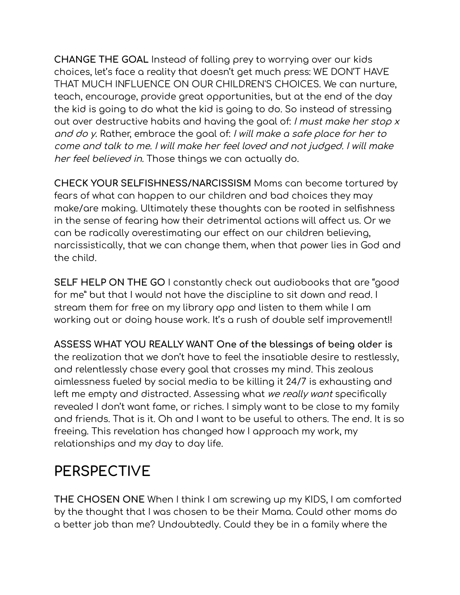**CHANGE THE GOAL** Instead of falling prey to worrying over our kids choices, let's face a reality that doesn't get much press: WE DON'T HAVE THAT MUCH INFLUENCE ON OUR CHILDREN'S CHOICES. We can nurture, teach, encourage, provide great opportunities, but at the end of the day the kid is going to do what the kid is going to do. So instead of stressing out over destructive habits and having the goal of: I must make her stop x and do y. Rather, embrace the goal of: I will make <sup>a</sup> safe place for her to come and talk to me. I will make her feel loved and not judged. I will make her feel believed in. Those things we can actually do.

**CHECK YOUR SELFISHNESS/NARCISSISM** Moms can become tortured by fears of what can happen to our children and bad choices they may make/are making. Ultimately these thoughts can be rooted in selfishness in the sense of fearing how their detrimental actions will affect us. Or we can be radically overestimating our effect on our children believing, narcissistically, that we can change them, when that power lies in God and the child.

**SELF HELP ON THE GO** I constantly check out audiobooks that are "good for me" but that I would not have the discipline to sit down and read. I stream them for free on my library app and listen to them while I am working out or doing house work. It's a rush of double self improvement!!

**ASSESS WHAT YOU REALLY WANT One of the blessings of being older is** the realization that we don't have to feel the insatiable desire to restlessly, and relentlessly chase every goal that crosses my mind. This zealous aimlessness fueled by social media to be killing it 24/7 is exhausting and left me empty and distracted. Assessing what we really want specifically revealed I don't want fame, or riches. I simply want to be close to my family and friends. That is it. Oh and I want to be useful to others. The end. It is so freeing. This revelation has changed how I approach my work, my relationships and my day to day life.

# **PERSPECTIVE**

**THE CHOSEN ONE** When I think I am screwing up my KIDS, I am comforted by the thought that I was chosen to be their Mama. Could other moms do a better job than me? Undoubtedly. Could they be in a family where the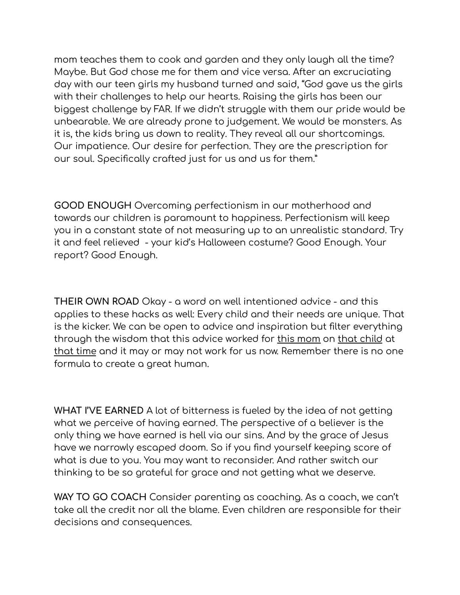mom teaches them to cook and garden and they only laugh all the time? Maybe. But God chose me for them and vice versa. After an excruciating day with our teen girls my husband turned and said, "God gave us the girls with their challenges to help our hearts. Raising the girls has been our biggest challenge by FAR. If we didn't struggle with them our pride would be unbearable. We are already prone to judgement. We would be monsters. As it is, the kids bring us down to reality. They reveal all our shortcomings. Our impatience. Our desire for perfection. They are the prescription for our soul. Specifically crafted just for us and us for them."

**GOOD ENOUGH** Overcoming perfectionism in our motherhood and towards our children is paramount to happiness. Perfectionism will keep you in a constant state of not measuring up to an unrealistic standard. Try it and feel relieved - your kid's Halloween costume? Good Enough. Your report? Good Enough.

**THEIR OWN ROAD** Okay - a word on well intentioned advice - and this applies to these hacks as well: Every child and their needs are unique. That is the kicker. We can be open to advice and inspiration but filter everything through the wisdom that this advice worked for this mom on that child at that time and it may or may not work for us now. Remember there is no one formula to create a great human.

**WHAT I'VE EARNED** A lot of bitterness is fueled by the idea of not getting what we perceive of having earned. The perspective of a believer is the only thing we have earned is hell via our sins. And by the grace of Jesus have we narrowly escaped doom. So if you find yourself keeping score of what is due to you. You may want to reconsider. And rather switch our thinking to be so grateful for grace and not getting what we deserve.

**WAY TO GO COACH** Consider parenting as coaching. As a coach, we can't take all the credit nor all the blame. Even children are responsible for their decisions and consequences.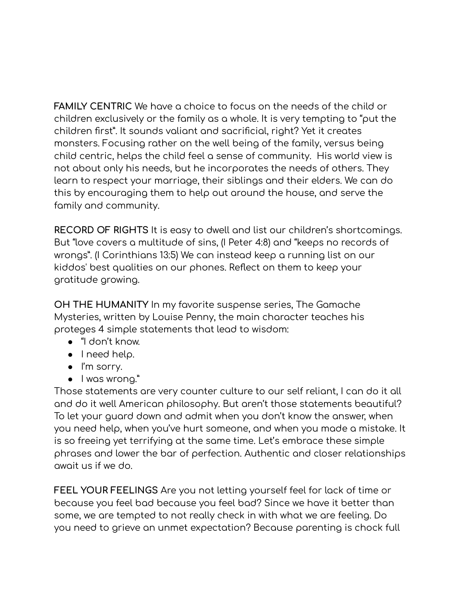**FAMILY CENTRIC** We have a choice to focus on the needs of the child or children exclusively or the family as a whole. It is very tempting to "put the children first". It sounds valiant and sacrificial, right? Yet it creates monsters. Focusing rather on the well being of the family, versus being child centric, helps the child feel a sense of community. His world view is not about only his needs, but he incorporates the needs of others. They learn to respect your marriage, their siblings and their elders. We can do this by encouraging them to help out around the house, and serve the family and community.

**RECORD OF RIGHTS** It is easy to dwell and list our children's shortcomings. But "love covers a multitude of sins, (I Peter 4:8) and "keeps no records of wrongs". (I Corinthians 13:5) We can instead keep a running list on our kiddos' best qualities on our phones. Reflect on them to keep your gratitude growing.

**OH THE HUMANITY** In my favorite suspense series, The Gamache Mysteries, written by Louise Penny, the main character teaches his proteges 4 simple statements that lead to wisdom:

- "I don't know.
- I need help.
- I'm sorry.
- I was wrong."

Those statements are very counter culture to our self reliant, I can do it all and do it well American philosophy. But aren't those statements beautiful? To let your guard down and admit when you don't know the answer, when you need help, when you've hurt someone, and when you made a mistake. It is so freeing yet terrifying at the same time. Let's embrace these simple phrases and lower the bar of perfection. Authentic and closer relationships await us if we do.

**FEEL YOUR FEELINGS** Are you not letting yourself feel for lack of time or because you feel bad because you feel bad? Since we have it better than some, we are tempted to not really check in with what we are feeling. Do you need to grieve an unmet expectation? Because parenting is chock full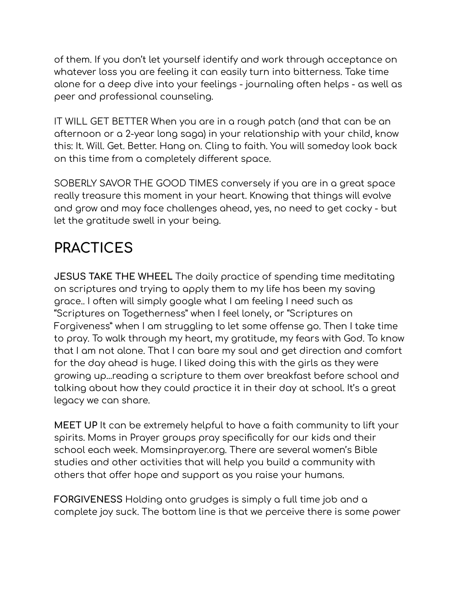of them. If you don't let yourself identify and work through acceptance on whatever loss you are feeling it can easily turn into bitterness. Take time alone for a deep dive into your feelings - journaling often helps - as well as peer and professional counseling.

IT WILL GET BETTER When you are in a rough patch (and that can be an afternoon or a 2-year long saga) in your relationship with your child, know this: It. Will. Get. Better. Hang on. Cling to faith. You will someday look back on this time from a completely different space.

SOBERLY SAVOR THE GOOD TIMES conversely if you are in a great space really treasure this moment in your heart. Knowing that things will evolve and grow and may face challenges ahead, yes, no need to get cocky - but let the gratitude swell in your being.

# **PRACTICES**

**JESUS TAKE THE WHEEL** The daily practice of spending time meditating on scriptures and trying to apply them to my life has been my saving grace.. I often will simply google what I am feeling I need such as "Scriptures on Togetherness" when I feel lonely, or "Scriptures on Forgiveness" when I am struggling to let some offense go. Then I take time to pray. To walk through my heart, my gratitude, my fears with God. To know that I am not alone. That I can bare my soul and get direction and comfort for the day ahead is huge. I liked doing this with the girls as they were growing up...reading a scripture to them over breakfast before school and talking about how they could practice it in their day at school. It's a great legacy we can share.

**MEET UP** It can be extremely helpful to have a faith community to lift your spirits. Moms in Prayer groups pray specifically for our kids and their school each week. Momsinprayer.org. There are several women's Bible studies and other activities that will help you build a community with others that offer hope and support as you raise your humans.

**FORGIVENESS** Holding onto grudges is simply a full time job and a complete joy suck. The bottom line is that we perceive there is some power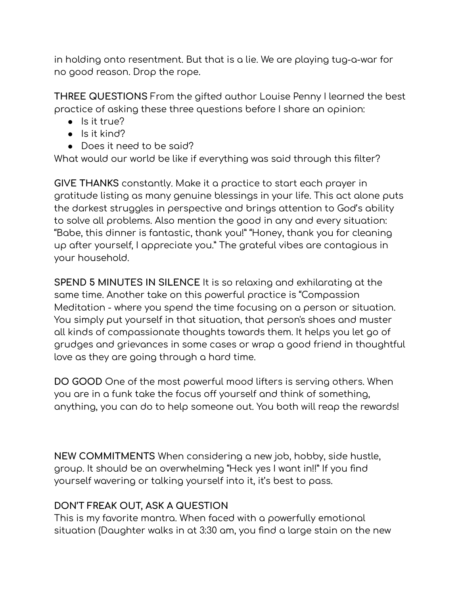in holding onto resentment. But that is a lie. We are playing tug-a-war for no good reason. Drop the rope.

**THREE QUESTIONS** From the gifted author Louise Penny I learned the best practice of asking these three questions before I share an opinion:

- Is it true?
- Is it kind?
- Does it need to be said?

What would our world be like if everything was said through this filter?

**GIVE THANKS** constantly. Make it a practice to start each prayer in gratitude listing as many genuine blessings in your life. This act alone puts the darkest struggles in perspective and brings attention to God's ability to solve all problems. Also mention the good in any and every situation: "Babe, this dinner is fantastic, thank you!" "Honey, thank you for cleaning up after yourself, I appreciate you." The grateful vibes are contagious in your household.

**SPEND 5 MINUTES IN SILENCE** It is so relaxing and exhilarating at the same time. Another take on this powerful practice is "Compassion Meditation - where you spend the time focusing on a person or situation. You simply put yourself in that situation, that person's shoes and muster all kinds of compassionate thoughts towards them. It helps you let go of grudges and grievances in some cases or wrap a good friend in thoughtful love as they are going through a hard time.

**DO GOOD** One of the most powerful mood lifters is serving others. When you are in a funk take the focus off yourself and think of something, anything, you can do to help someone out. You both will reap the rewards!

**NEW COMMITMENTS** When considering a new job, hobby, side hustle, group. It should be an overwhelming "Heck yes I want in!!" If you find yourself wavering or talking yourself into it, it's best to pass.

#### **DON'T FREAK OUT, ASK A QUESTION**

This is my favorite mantra. When faced with a powerfully emotional situation (Daughter walks in at 3:30 am, you find a large stain on the new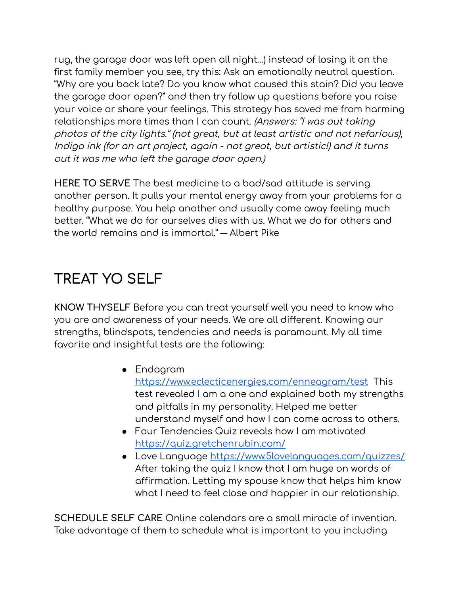rug, the garage door was left open all night…) instead of losing it on the first family member you see, try this: Ask an emotionally neutral question. "Why are you back late? Do you know what caused this stain? Did you leave the garage door open?" and then try follow up questions before you raise your voice or share your feelings. This strategy has saved me from harming relationships more times than I can count. (Answers: "I was out taking photos of the city lights." (not great, but at least artistic and not nefarious), Indigo ink (for an art project, again - not great, but artistic!) and it turns out it was me who left the garage door open.)

**HERE TO SERVE** The best medicine to a bad/sad attitude is serving another person. It pulls your mental energy away from your problems for a healthy purpose. You help another and usually come away feeling much better. "What we do for ourselves dies with us. What we do for others and the world remains and is immortal." ― Albert Pike

### **TREAT YO SELF**

**KNOW THYSELF** Before you can treat yourself well you need to know who you are and awareness of your needs. We are all different. Knowing our strengths, blindspots, tendencies and needs is paramount. My all time favorite and insightful tests are the following:

- Endagram <https://www.eclecticenergies.com/enneagram/test> This test revealed I am a one and explained both my strengths and pitfalls in my personality. Helped me better understand myself and how I can come across to others.
- Four Tendencies Quiz reveals how I am motivated <https://quiz.gretchenrubin.com/>
- Love Language <https://www.5lovelanguages.com/quizzes/> After taking the quiz I know that I am huge on words of affirmation. Letting my spouse know that helps him know what I need to feel close and happier in our relationship.

**SCHEDULE SELF CARE** Online calendars are a small miracle of invention. Take advantage of them to schedule what is important to you including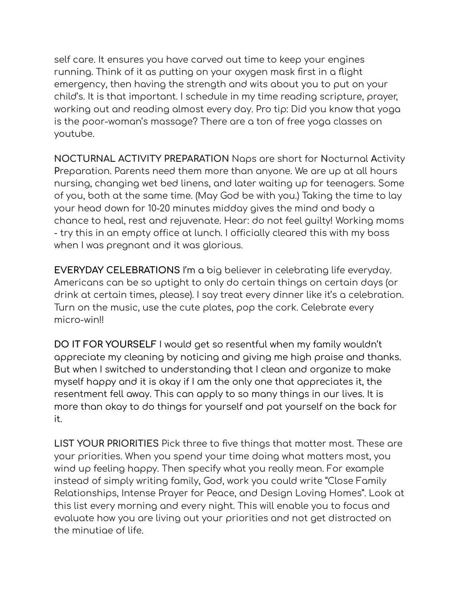self care. It ensures you have carved out time to keep your engines running. Think of it as putting on your oxygen mask first in a flight emergency, then having the strength and wits about you to put on your child's. It is that important. I schedule in my time reading scripture, prayer, working out and reading almost every day. Pro tip: Did you know that yoga is the poor-woman's massage? There are a ton of free yoga classes on youtube.

**NOCTURNAL ACTIVITY PREPARATION** Naps are short for **N**octurnal **A**ctivity **P**reparation. Parents need them more than anyone. We are up at all hours nursing, changing wet bed linens, and later waiting up for teenagers. Some of you, both at the same time. (May God be with you.) Taking the time to lay your head down for 10-20 minutes midday gives the mind and body a chance to heal, rest and rejuvenate. Hear: do not feel guilty! Working moms - try this in an empty office at lunch. I officially cleared this with my boss when I was pregnant and it was glorious.

**EVERYDAY CELEBRATIONS** I'm a big believer in celebrating life everyday. Americans can be so uptight to only do certain things on certain days (or drink at certain times, please). I say treat every dinner like it's a celebration. Turn on the music, use the cute plates, pop the cork. Celebrate every micro-win!!

**DO IT FOR YOURSELF** I would get so resentful when my family wouldn't appreciate my cleaning by noticing and giving me high praise and thanks. But when I switched to understanding that I clean and organize to make myself happy and it is okay if I am the only one that appreciates it, the resentment fell away. This can apply to so many things in our lives. It is more than okay to do things for yourself and pat yourself on the back for it.

**LIST YOUR PRIORITIES** Pick three to five things that matter most. These are your priorities. When you spend your time doing what matters most, you wind up feeling happy. Then specify what you really mean. For example instead of simply writing family, God, work you could write "Close Family Relationships, Intense Prayer for Peace, and Design Loving Homes". Look at this list every morning and every night. This will enable you to focus and evaluate how you are living out your priorities and not get distracted on the minutiae of life.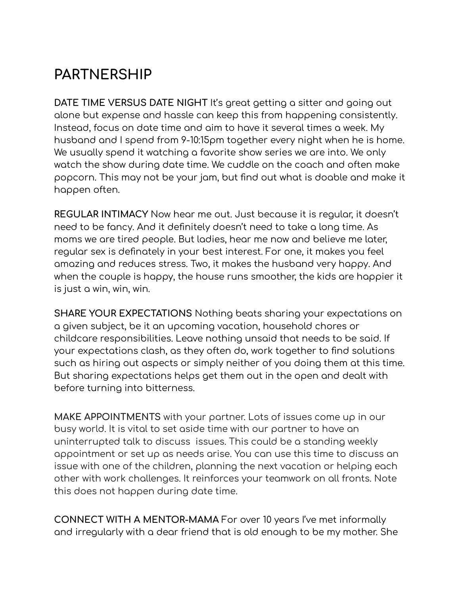### **PARTNERSHIP**

**DATE TIME VERSUS DATE NIGHT** It's great getting a sitter and going out alone but expense and hassle can keep this from happening consistently. Instead, focus on date time and aim to have it several times a week. My husband and I spend from 9-10:15pm together every night when he is home. We usually spend it watching a favorite show series we are into. We only watch the show during date time. We cuddle on the coach and often make popcorn. This may not be your jam, but find out what is doable and make it happen often.

**REGULAR INTIMACY** Now hear me out. Just because it is regular, it doesn't need to be fancy. And it definitely doesn't need to take a long time. As moms we are tired people. But ladies, hear me now and believe me later, regular sex is definately in your best interest. For one, it makes you feel amazing and reduces stress. Two, it makes the husband very happy. And when the couple is happy, the house runs smoother, the kids are happier it is just a win, win, win.

**SHARE YOUR EXPECTATIONS** Nothing beats sharing your expectations on a given subject, be it an upcoming vacation, household chores or childcare responsibilities. Leave nothing unsaid that needs to be said. If your expectations clash, as they often do, work together to find solutions such as hiring out aspects or simply neither of you doing them at this time. But sharing expectations helps get them out in the open and dealt with before turning into bitterness.

**MAKE APPOINTMENTS** with your partner. Lots of issues come up in our busy world. It is vital to set aside time with our partner to have an uninterrupted talk to discuss issues. This could be a standing weekly appointment or set up as needs arise. You can use this time to discuss an issue with one of the children, planning the next vacation or helping each other with work challenges. It reinforces your teamwork on all fronts. Note this does not happen during date time.

**CONNECT WITH A MENTOR-MAMA** For over 10 years I've met informally and irregularly with a dear friend that is old enough to be my mother. She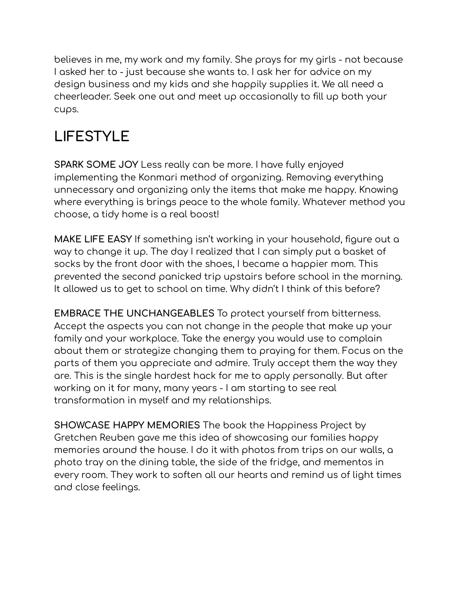believes in me, my work and my family. She prays for my girls - not because I asked her to - just because she wants to. I ask her for advice on my design business and my kids and she happily supplies it. We all need a cheerleader. Seek one out and meet up occasionally to fill up both your cups.

# **LIFESTYLE**

**SPARK SOME JOY** Less really can be more. I have fully enjoyed implementing the Konmari method of organizing. Removing everything unnecessary and organizing only the items that make me happy. Knowing where everything is brings peace to the whole family. Whatever method you choose, a tidy home is a real boost!

**MAKE LIFE EASY** If something isn't working in your household, figure out a way to change it up. The day I realized that I can simply put a basket of socks by the front door with the shoes, I became a happier mom. This prevented the second panicked trip upstairs before school in the morning. It allowed us to get to school on time. Why didn't I think of this before?

**EMBRACE THE UNCHANGEABLES** To protect yourself from bitterness. Accept the aspects you can not change in the people that make up your family and your workplace. Take the energy you would use to complain about them or strategize changing them to praying for them. Focus on the parts of them you appreciate and admire. Truly accept them the way they are. This is the single hardest hack for me to apply personally. But after working on it for many, many years - I am starting to see real transformation in myself and my relationships.

**SHOWCASE HAPPY MEMORIES** The book the Happiness Project by Gretchen Reuben gave me this idea of showcasing our families happy memories around the house. I do it with photos from trips on our walls, a photo tray on the dining table, the side of the fridge, and mementos in every room. They work to soften all our hearts and remind us of light times and close feelings.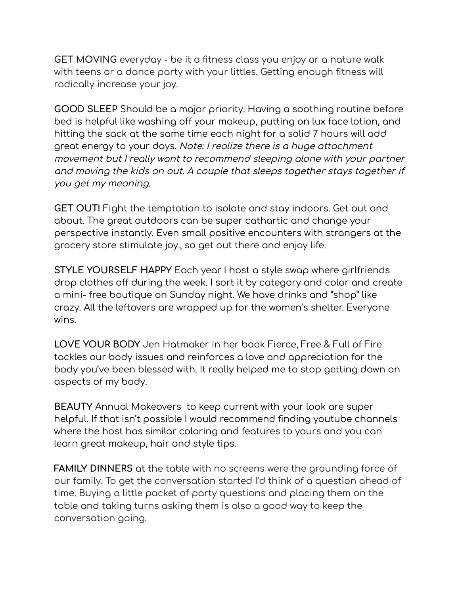**GET MOVING** everyday - be it a fitness class you enjoy or a nature walk with teens or a dance party with your littles. Getting enough fitness will radically increase your joy.

**GOOD SLEEP** Should be a major priority. Having a soothing routine before bed is helpful like washing off your makeup, putting on lux face lotion, and hitting the sack at the same time each night for a solid 7 hours will add great energy to your days. Note: I realize there is <sup>a</sup> huge attachment movement but I really want to recommend sleeping alone with your partner and moving the kids on out. A couple that sleeps together stays together if you get my meaning.

**GET OUT!** Fight the temptation to isolate and stay indoors. Get out and about. The great outdoors can be super cathartic and change your perspective instantly. Even small positive encounters with strangers at the grocery store stimulate joy., so get out there and enjoy life.

**STYLE YOURSELF HAPPY** Each year I host a style swap where girlfriends drop clothes off during the week. I sort it by category and color and create a mini- free boutique on Sunday night. We have drinks and "shop" like crazy. All the leftovers are wrapped up for the women's shelter. Everyone wins.

**LOVE YOUR BODY** Jen Hatmaker in her book Fierce, Free & Full of Fire tackles our body issues and reinforces a love and appreciation for the body you've been blessed with. It really helped me to stop getting down on aspects of my body.

**BEAUTY** Annual Makeovers to keep current with your look are super helpful. If that isn't possible I would recommend finding youtube channels where the host has similar coloring and features to yours and you can learn great makeup, hair and style tips.

**FAMILY DINNERS** at the table with no screens were the grounding force of our family. To get the conversation started I'd think of a question ahead of time. Buying a little packet of party questions and placing them on the table and taking turns asking them is also a good way to keep the conversation going.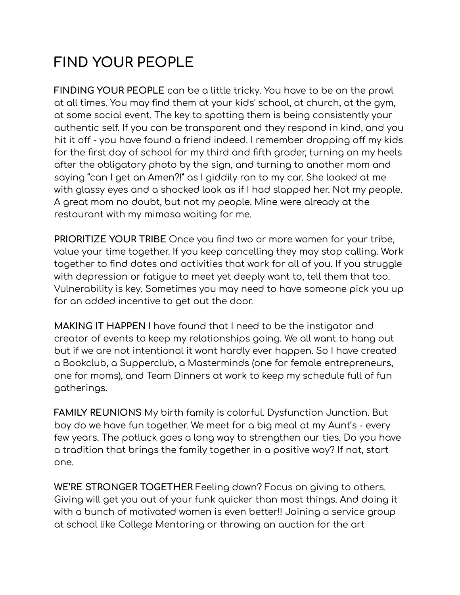# **FIND YOUR PEOPLE**

**FINDING YOUR PEOPLE** can be a little tricky. You have to be on the prowl at all times. You may find them at your kids' school, at church, at the gym, at some social event. The key to spotting them is being consistently your authentic self. If you can be transparent and they respond in kind, and you hit it off - you have found a friend indeed. I remember dropping off my kids for the first day of school for my third and fifth grader, turning on my heels after the obligatory photo by the sign, and turning to another mom and saying "can I get an Amen?!" as I giddily ran to my car. She looked at me with glassy eyes and a shocked look as if I had slapped her. Not my people. A great mom no doubt, but not my people. Mine were already at the restaurant with my mimosa waiting for me.

**PRIORITIZE YOUR TRIBE** Once you find two or more women for your tribe, value your time together. If you keep cancelling they may stop calling. Work together to find dates and activities that work for all of you. If you struggle with depression or fatigue to meet yet deeply want to, tell them that too. Vulnerability is key. Sometimes you may need to have someone pick you up for an added incentive to get out the door.

**MAKING IT HAPPEN** I have found that I need to be the instigator and creator of events to keep my relationships going. We all want to hang out but if we are not intentional it wont hardly ever happen. So I have created a Bookclub, a Supperclub, a Masterminds (one for female entrepreneurs, one for moms), and Team Dinners at work to keep my schedule full of fun gatherings.

**FAMILY REUNIONS** My birth family is colorful. Dysfunction Junction. But boy do we have fun together. We meet for a big meal at my Aunt's - every few years. The potluck goes a long way to strengthen our ties. Do you have a tradition that brings the family together in a positive way? If not, start one.

**WE'RE STRONGER TOGETHER** Feeling down? Focus on giving to others. Giving will get you out of your funk quicker than most things. And doing it with a bunch of motivated women is even better!! Joining a service group at school like College Mentoring or throwing an auction for the art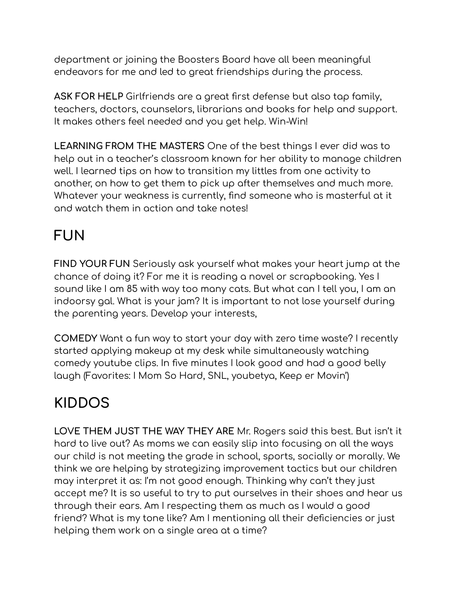department or joining the Boosters Board have all been meaningful endeavors for me and led to great friendships during the process.

**ASK FOR HELP** Girlfriends are a great first defense but also tap family, teachers, doctors, counselors, librarians and books for help and support. It makes others feel needed and you get help. Win-Win!

**LEARNING FROM THE MASTERS** One of the best things I ever did was to help out in a teacher's classroom known for her ability to manage children well. I learned tips on how to transition my littles from one activity to another, on how to get them to pick up after themselves and much more. Whatever your weakness is currently, find someone who is masterful at it and watch them in action and take notes!

#### **FUN**

**FIND YOUR FUN** Seriously ask yourself what makes your heart jump at the chance of doing it? For me it is reading a novel or scrapbooking. Yes I sound like I am 85 with way too many cats. But what can I tell you, I am an indoorsy gal. What is your jam? It is important to not lose yourself during the parenting years. Develop your interests,

**COMEDY** Want a fun way to start your day with zero time waste? I recently started applying makeup at my desk while simultaneously watching comedy youtube clips. In five minutes I look good and had a good belly laugh (Favorites: I Mom So Hard, SNL, youbetya, Keep er Movin')

# **KIDDOS**

**LOVE THEM JUST THE WAY THEY ARE** Mr. Rogers said this best. But isn't it hard to live out? As moms we can easily slip into focusing on all the ways our child is not meeting the grade in school, sports, socially or morally. We think we are helping by strategizing improvement tactics but our children may interpret it as: I'm not good enough. Thinking why can't they just accept me? It is so useful to try to put ourselves in their shoes and hear us through their ears. Am I respecting them as much as I would a good friend? What is my tone like? Am I mentioning all their deficiencies or just helping them work on a single area at a time?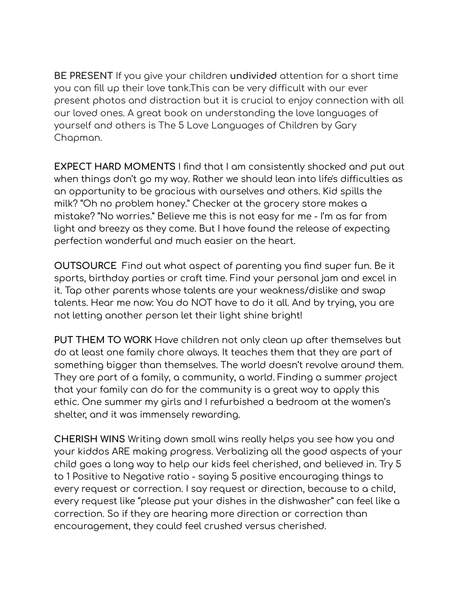**BE PRESENT** If you give your children **undivided** attention for a short time you can fill up their love tank.This can be very difficult with our ever present photos and distraction but it is crucial to enjoy connection with all our loved ones. A great book on understanding the love languages of yourself and others is The 5 Love Languages of Children by Gary Chapman.

**EXPECT HARD MOMENTS** I find that I am consistently shocked and put out when things don't go my way. Rather we should lean into life's difficulties as an opportunity to be gracious with ourselves and others. Kid spills the milk? "Oh no problem honey." Checker at the grocery store makes a mistake? "No worries." Believe me this is not easy for me - I'm as far from light and breezy as they come. But I have found the release of expecting perfection wonderful and much easier on the heart.

**OUTSOURCE** Find out what aspect of parenting you find super fun. Be it sports, birthday parties or craft time. Find your personal jam and excel in it. Tap other parents whose talents are your weakness/dislike and swap talents. Hear me now: You do NOT have to do it all. And by trying, you are not letting another person let their light shine bright!

**PUT THEM TO WORK** Have children not only clean up after themselves but do at least one family chore always. It teaches them that they are part of something bigger than themselves. The world doesn't revolve around them. They are part of a family, a community, a world. Finding a summer project that your family can do for the community is a great way to apply this ethic. One summer my girls and I refurbished a bedroom at the women's shelter, and it was immensely rewarding.

**CHERISH WINS** Writing down small wins really helps you see how you and your kiddos ARE making progress. Verbalizing all the good aspects of your child goes a long way to help our kids feel cherished, and believed in. Try 5 to 1 Positive to Negative ratio - saying 5 positive encouraging things to every request or correction. I say request or direction, because to a child, every request like "please put your dishes in the dishwasher" can feel like a correction. So if they are hearing more direction or correction than encouragement, they could feel crushed versus cherished.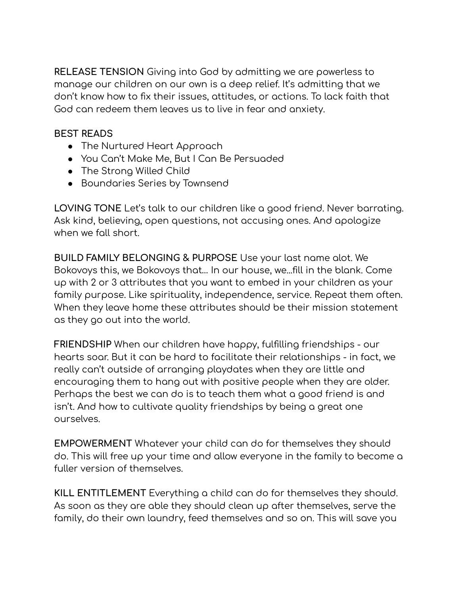**RELEASE TENSION** Giving into God by admitting we are powerless to manage our children on our own is a deep relief. It's admitting that we don't know how to fix their issues, attitudes, or actions. To lack faith that God can redeem them leaves us to live in fear and anxiety.

#### **BEST READS**

- The Nurtured Heart Approach
- You Can't Make Me, But I Can Be Persuaded
- The Strong Willed Child
- Boundaries Series by Townsend

**LOVING TONE** Let's talk to our children like a good friend. Never barrating. Ask kind, believing, open questions, not accusing ones. And apologize when we fall short.

**BUILD FAMILY BELONGING & PURPOSE** Use your last name alot. We Bokovoys this, we Bokovoys that… In our house, we...fill in the blank. Come up with 2 or 3 attributes that you want to embed in your children as your family purpose. Like spirituality, independence, service. Repeat them often. When they leave home these attributes should be their mission statement as they go out into the world.

**FRIENDSHIP** When our children have happy, fulfilling friendships - our hearts soar. But it can be hard to facilitate their relationships - in fact, we really can't outside of arranging playdates when they are little and encouraging them to hang out with positive people when they are older. Perhaps the best we can do is to teach them what a good friend is and isn't. And how to cultivate quality friendships by being a great one ourselves.

**EMPOWERMENT** Whatever your child can do for themselves they should do. This will free up your time and allow everyone in the family to become a fuller version of themselves.

**KILL ENTITLEMENT** Everything a child can do for themselves they should. As soon as they are able they should clean up after themselves, serve the family, do their own laundry, feed themselves and so on. This will save you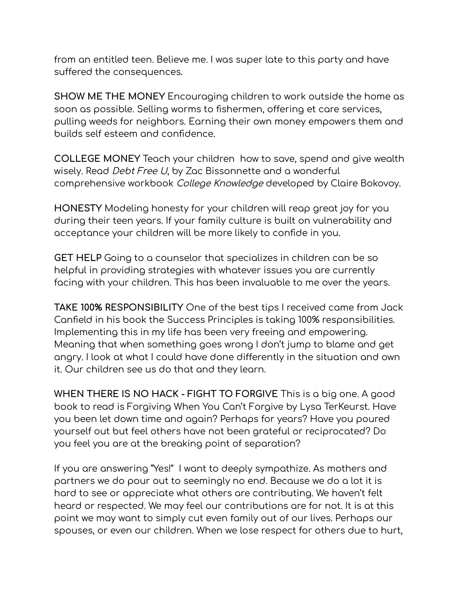from an entitled teen. Believe me. I was super late to this party and have suffered the consequences.

**SHOW ME THE MONEY** Encouraging children to work outside the home as soon as possible. Selling worms to fishermen, offering et care services, pulling weeds for neighbors. Earning their own money empowers them and builds self esteem and confidence.

**COLLEGE MONEY** Teach your children how to save, spend and give wealth wisely. Read *Debt Free U*, by Zac Bissonnette and a wonderful comprehensive workbook College Knowledge developed by Claire Bokovoy.

**HONESTY** Modeling honesty for your children will reap great joy for you during their teen years. If your family culture is built on vulnerability and acceptance your children will be more likely to confide in you.

**GET HELP** Going to a counselor that specializes in children can be so helpful in providing strategies with whatever issues you are currently facing with your children. This has been invaluable to me over the years.

**TAKE 100% RESPONSIBILITY** One of the best tips I received came from Jack Canfield in his book the Success Principles is taking 100% responsibilities. Implementing this in my life has been very freeing and empowering. Meaning that when something goes wrong I don't jump to blame and get angry. I look at what I could have done differently in the situation and own it. Our children see us do that and they learn.

**WHEN THERE IS NO HACK - FIGHT TO FORGIVE** This is a big one. A good book to read is Forgiving When You Can't Forgive by Lysa TerKeurst. Have you been let down time and again? Perhaps for years? Have you poured yourself out but feel others have not been grateful or reciprocated? Do you feel you are at the breaking point of separation?

If you are answering "Yes!" I want to deeply sympathize. As mothers and partners we do pour out to seemingly no end. Because we do a lot it is hard to see or appreciate what others are contributing. We haven't felt heard or respected. We may feel our contributions are for not. It is at this point we may want to simply cut even family out of our lives. Perhaps our spouses, or even our children. When we lose respect for others due to hurt,